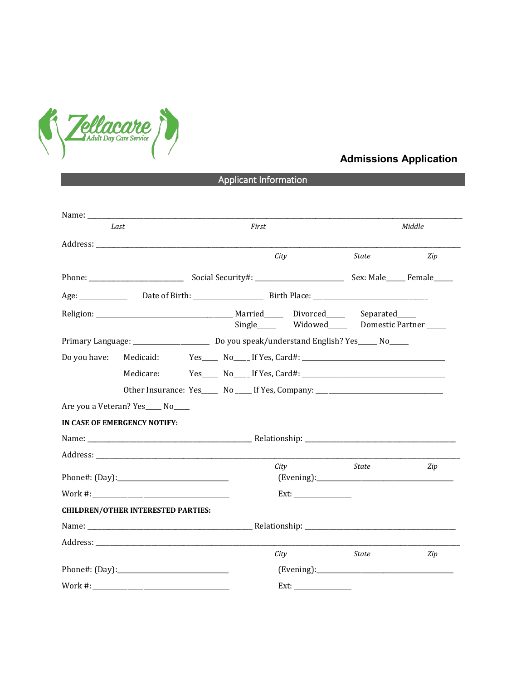

## **Admissions Application**

## Applicant Information

| Last                      |                                           | First                                                                            | Middle |     |
|---------------------------|-------------------------------------------|----------------------------------------------------------------------------------|--------|-----|
|                           |                                           |                                                                                  |        |     |
|                           |                                           | City                                                                             | State  | Zip |
|                           |                                           |                                                                                  |        |     |
|                           |                                           |                                                                                  |        |     |
|                           |                                           | Single______ Widowed______ Domestic Partner _____                                |        |     |
|                           |                                           |                                                                                  |        |     |
| Do you have:<br>Medicaid: |                                           |                                                                                  |        |     |
|                           | Medicare:                                 |                                                                                  |        |     |
|                           |                                           | Other Insurance: Yes_____ No ____ If Yes, Company: _____________________________ |        |     |
|                           | Are you a Veteran? Yes____ No____         |                                                                                  |        |     |
|                           | IN CASE OF EMERGENCY NOTIFY:              |                                                                                  |        |     |
|                           |                                           |                                                                                  |        |     |
|                           |                                           |                                                                                  |        |     |
|                           |                                           | City                                                                             | State  | Zip |
|                           |                                           |                                                                                  |        |     |
|                           | <b>CHILDREN/OTHER INTERESTED PARTIES:</b> |                                                                                  |        |     |
|                           |                                           |                                                                                  |        |     |
|                           |                                           |                                                                                  |        |     |
|                           |                                           | City                                                                             | State  | Zip |
| Phone#: (Day):            |                                           |                                                                                  |        |     |
|                           |                                           |                                                                                  |        |     |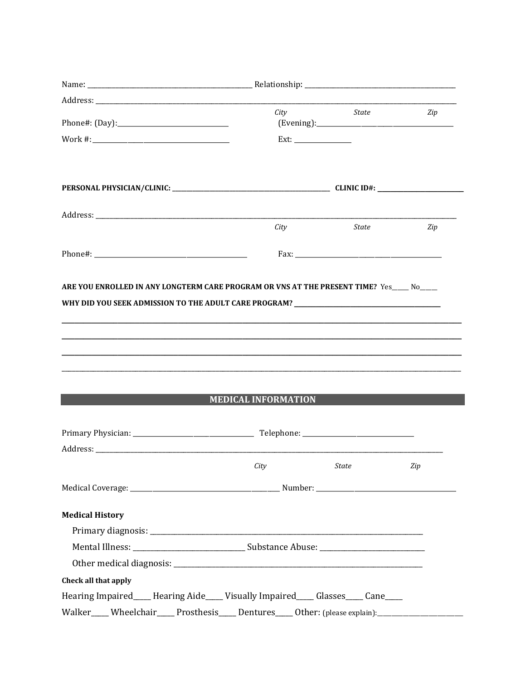|                                                                                                                                                                                                                                | City                       | State | Zip |
|--------------------------------------------------------------------------------------------------------------------------------------------------------------------------------------------------------------------------------|----------------------------|-------|-----|
|                                                                                                                                                                                                                                |                            |       |     |
|                                                                                                                                                                                                                                |                            |       |     |
|                                                                                                                                                                                                                                |                            |       |     |
| Address: Andreas Address: Address: Address: Address: Address: Address: Address: Address: Address: Address: Address: Address: Address: Address: Address: Address: Address: Address: Address: Address: Address: Address: Address |                            |       |     |
|                                                                                                                                                                                                                                | City                       | State | Zip |
|                                                                                                                                                                                                                                |                            |       |     |
|                                                                                                                                                                                                                                |                            |       |     |
| ARE YOU ENROLLED IN ANY LONGTERM CARE PROGRAM OR VNS AT THE PRESENT TIME? Yes____ No____                                                                                                                                       |                            |       |     |
| WHY DID YOU SEEK ADMISSION TO THE ADULT CARE PROGRAM? ___________________________                                                                                                                                              |                            |       |     |
|                                                                                                                                                                                                                                |                            |       |     |
|                                                                                                                                                                                                                                |                            |       |     |
|                                                                                                                                                                                                                                |                            |       |     |
|                                                                                                                                                                                                                                |                            |       |     |
|                                                                                                                                                                                                                                |                            |       |     |
|                                                                                                                                                                                                                                | <b>MEDICAL INFORMATION</b> |       |     |
|                                                                                                                                                                                                                                |                            |       |     |
|                                                                                                                                                                                                                                |                            |       |     |
|                                                                                                                                                                                                                                |                            |       |     |
|                                                                                                                                                                                                                                | City State                 |       | Zip |
|                                                                                                                                                                                                                                |                            |       |     |
| <b>Medical History</b>                                                                                                                                                                                                         |                            |       |     |
|                                                                                                                                                                                                                                |                            |       |     |
|                                                                                                                                                                                                                                |                            |       |     |
|                                                                                                                                                                                                                                |                            |       |     |
| Check all that apply                                                                                                                                                                                                           |                            |       |     |
| Hearing Impaired____Hearing Aide____Visually Impaired____Glasses____Cane____                                                                                                                                                   |                            |       |     |
| Walker____Wheelchair____Prosthesis____Dentures____Other: (please explain):_________________________                                                                                                                            |                            |       |     |
|                                                                                                                                                                                                                                |                            |       |     |